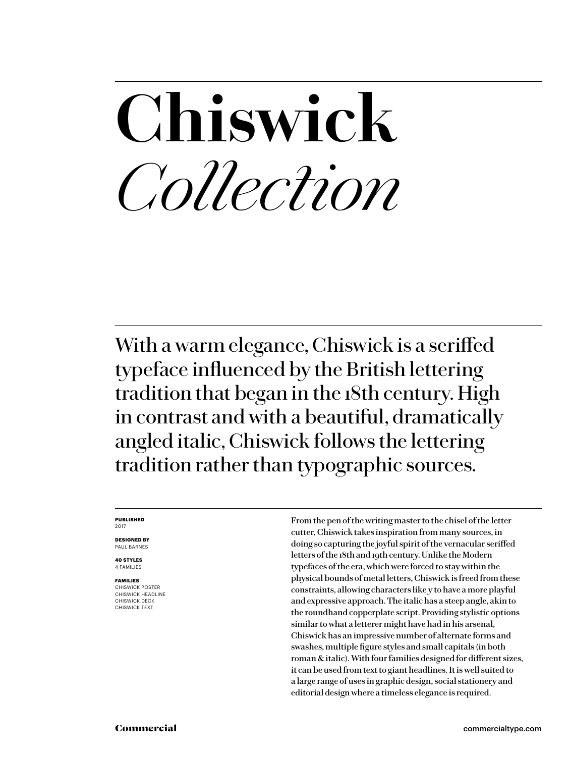## **Chiswick** *Collection*

With a warm elegance, Chiswick is a seriffed typeface influenced by the British lettering tradition that began in the 18th century. High in contrast and with a beautiful, dramatically angled italic, Chiswick follows the lettering tradition rather than typographic sources.

### **PUBLISHED** 2017

**DESIGNED BY** PAUL BARNES

**40 STYLES** 4 FAMILIES

**FAMILIES** CHISWICK POSTER CHISWICK HEADLINE CHISWICK DECK CHISWICK TEXT

From the pen of the writing master to the chisel of the letter cutter, Chiswick takes inspiration from many sources, in doing so capturing the joyful spirit of the vernacular seriffed letters of the 18th and 19th century. Unlike the Modern typefaces of the era, which were forced to stay within the physical bounds of metal letters, Chiswick is freed from these constraints, allowing characters like y to have a more playful and expressive approach. The italic has a steep angle, akin to the roundhand copperplate script. Providing stylistic options similar to what a letterer might have had in his arsenal, Chiswick has an impressive number of alternate forms and swashes, multiple figure styles and small capitals (in both roman & italic). With four families designed for different sizes, it can be used from text to giant headlines. It is well suited to a large range of uses in graphic design, social stationery and editorial design where a timeless elegance is required.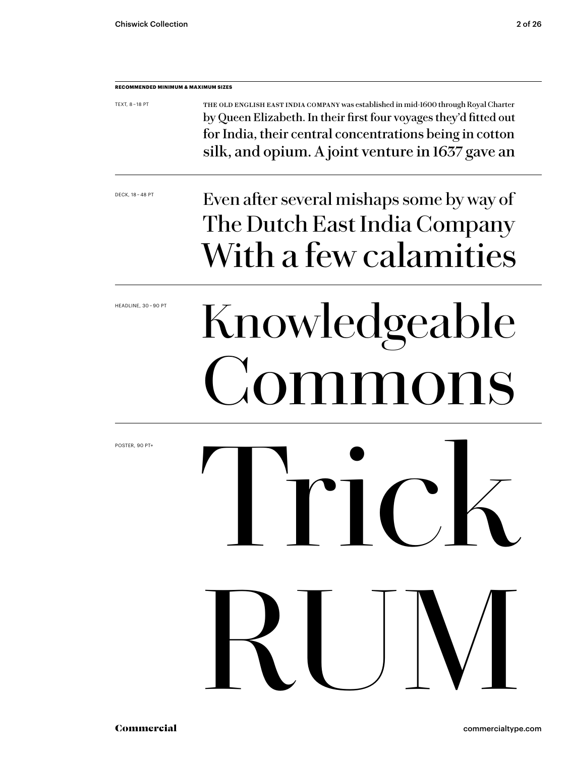| <b>RECOMMENDED MINIMUM &amp; MAXIMUM SIZES</b> |                                                                                                                                                                                                                                                                          |
|------------------------------------------------|--------------------------------------------------------------------------------------------------------------------------------------------------------------------------------------------------------------------------------------------------------------------------|
| TEXT, 8 - 18 PT                                | THE OLD ENGLISH EAST INDIA COMPANY was established in mid-1600 through Royal Charter<br>by Queen Elizabeth. In their first four voyages they'd fitted out<br>for India, their central concentrations being in cotton<br>silk, and opium. A joint venture in 1637 gave an |
| DECK, 18 - 48 PT                               | Even after several mishaps some by way of<br>The Dutch East India Company<br>With a few calamities                                                                                                                                                                       |
| HEADLINE, 30-90 PT                             | Knowledgeable<br>Commons                                                                                                                                                                                                                                                 |
| POSTER, 90 PT+                                 | <b>EXAMPLE DE LA PERSONALISTE DE LA PERSONALISTE DE LA PERSONALISTE DE LA PERSONALISTE DE LA PERSONALISTE DE LA</b>                                                                                                                                                      |
|                                                | RUM                                                                                                                                                                                                                                                                      |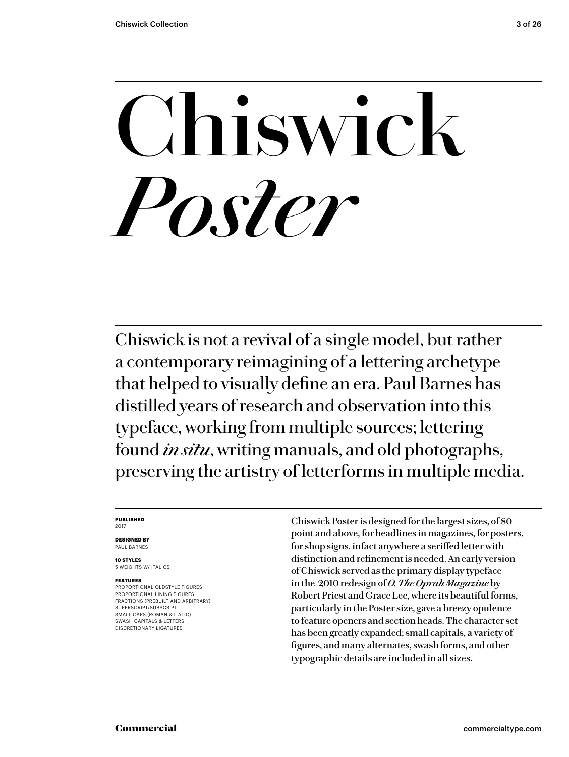# **Chiswick** *Poster*

Chiswick is not a revival of a single model, but rather a contemporary reimagining of a lettering archetype that helped to visually define an era. Paul Barnes has distilled years of research and observation into this typeface, working from multiple sources; lettering found *in situ*, writing manuals, and old photographs, preserving the artistry of letterforms in multiple media.

### **PUBLISHED** 2017

**DESIGNED BY** PAUL BARNES

**10 STYLES** 5 WEIGHTS W/ ITALICS

### **FEATURES**

PROPORTIONAL OLDSTYLE FIGURES PROPORTIONAL LINING FIGURES FRACTIONS (PREBUILT AND ARBITRARY) SUPERSCRIPT/SUBSCRIPT SMALL CAPS (ROMAN & ITALIC) SWASH CAPITALS & LETTERS DISCRETIONARY LIGATURES

Chiswick Poster is designed for the largest sizes, of 80 point and above, for headlines in magazines, for posters, for shop signs, infact anywhere a seriffed letter with distinction and refinement is needed. An early version of Chiswick served as the primary display typeface in the 2010 redesign of *O, The Oprah Magazine* by Robert Priest and Grace Lee, where its beautiful forms, particularly in the Poster size, gave a breezy opulence to feature openers and section heads. The character set has been greatly expanded; small capitals, a variety of figures, and many alternates, swash forms, and other typographic details are included in all sizes.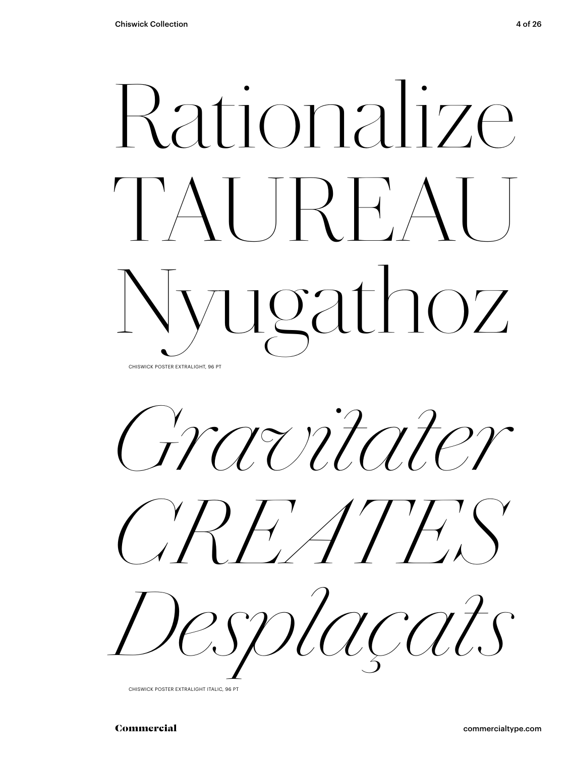# Rationalize TAUREAU Nyugathoz

CHISWICK POSTER EXTRALIGHT, 96 PT

*Gravitater*





CHISWICK POSTER EXTRALIGHT ITALIC, 96 PT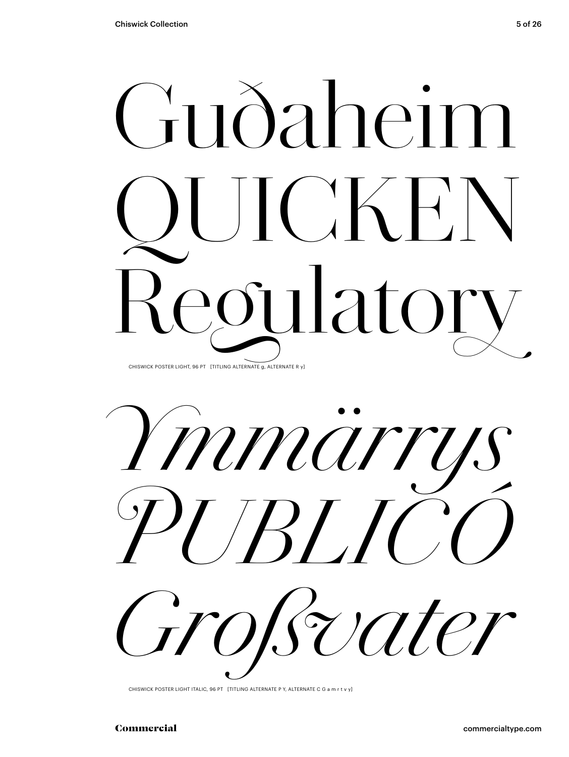



CHISWICK POSTER LIGHT ITALIC, 96 PT [TITLING ALTERNATE P Y, ALTERNATE C G a m r t v y]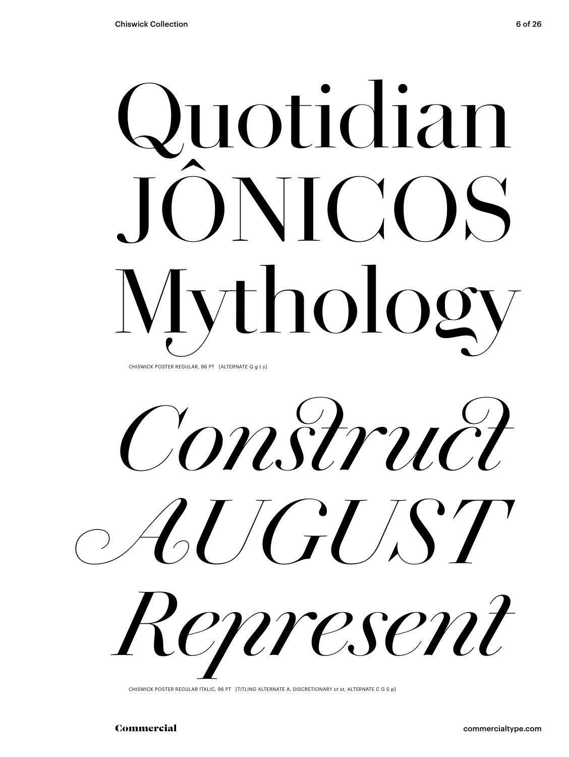# Quotidian JÔNICOS Mythology CHISWICK POSTER REGULAR, 96 PT [ALTERNATE Q q t y]

*Construct AUGUST Represent*

CHISWICK POSTER REGULAR ITALIC, 96 PT [TITLING ALTERNATE A, DISCRETIONARY ct st, ALTERNATE C G S p]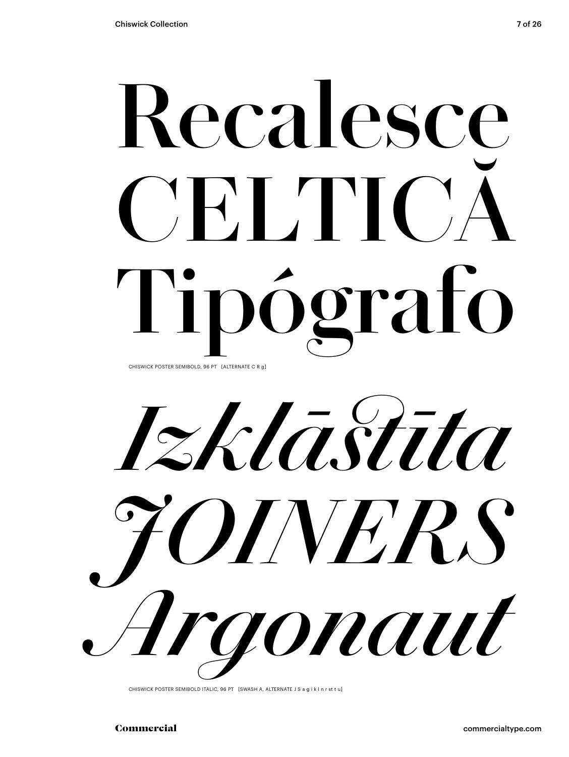# **Recalesce** CEITIC **Tipógrafo** CHISWICK POSTER SEMIBOLD, 96 PT [ALTERNATE C R g]

*Izklāstīta JOINERS Argonaut*

CHISWICK POSTER SEMIBOLD ITALIC, 96 PT [SWASH A, ALTERNATE J S a g i k l n r st t u]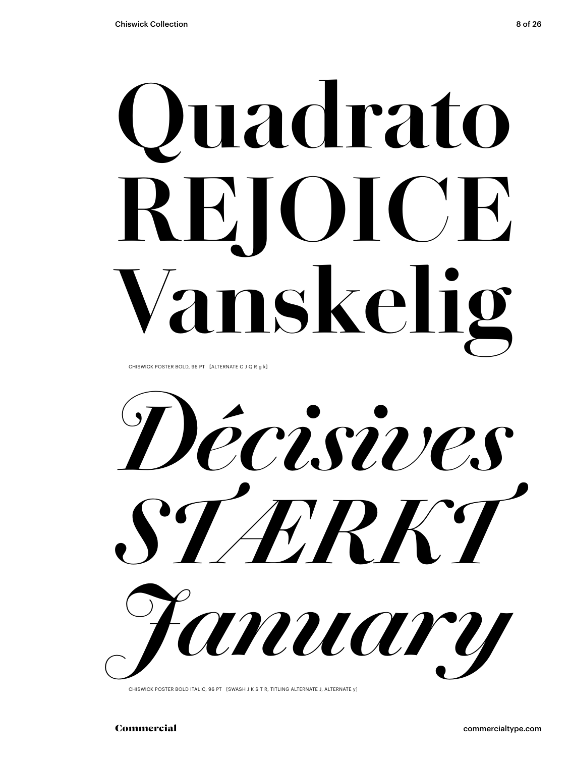# **Quadrato REJOICE nskeli**

CHISWICK POSTER BOLD, 96 PT [ALTERNATE C J Q R g k]

*Décisives STÆRKT January*

CHISWICK POSTER BOLD ITALIC, 96 PT [SWASH J K S T R, TITLING ALTERNATE J, ALTERNATE y]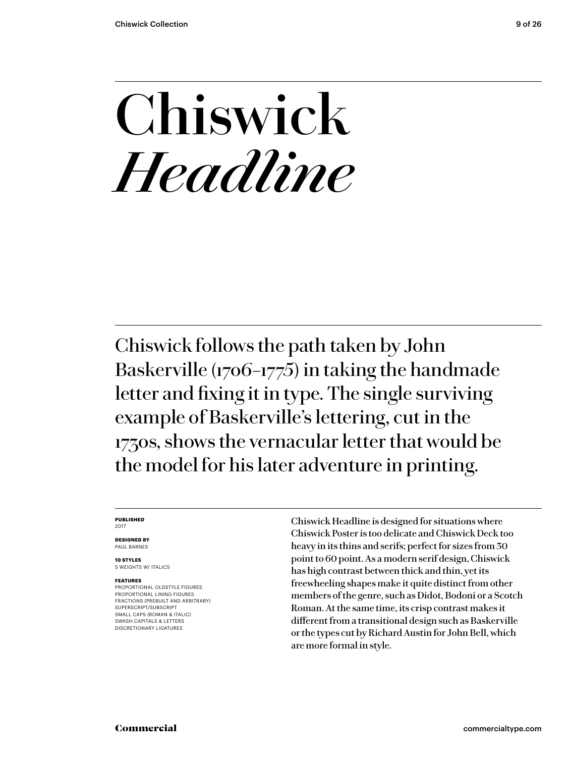### **Chiswick** *Headline*

Chiswick follows the path taken by John Baskerville (1706–1775) in taking the handmade letter and fixing it in type. The single surviving example of Baskerville's lettering, cut in the 1730s, shows the vernacular letter that would be the model for his later adventure in printing.

### **PUBLISHED** 2017

**DESIGNED BY** PAUL BARNES

**10 STYLES** 5 WEIGHTS W/ ITALICS

### **FEATURES**

PROPORTIONAL OLDSTYLE FIGURES PROPORTIONAL LINING FIGURES FRACTIONS (PREBUILT AND ARBITRARY) SUPERSCRIPT/SUBSCRIPT SMALL CAPS (ROMAN & ITALIC) SWASH CAPITALS & LETTERS DISCRETIONARY LIGATURES

Chiswick Headline is designed for situations where Chiswick Poster is too delicate and Chiswick Deck too heavy in its thins and serifs; perfect for sizes from 30 point to 60 point. As a modern serif design, Chiswick has high contrast between thick and thin, yet its freewheeling shapes make it quite distinct from other members of the genre, such as Didot, Bodoni or a Scotch Roman. At the same time, its crisp contrast makes it different from a transitional design such as Baskerville or the types cut by Richard Austin for John Bell, which are more formal in style.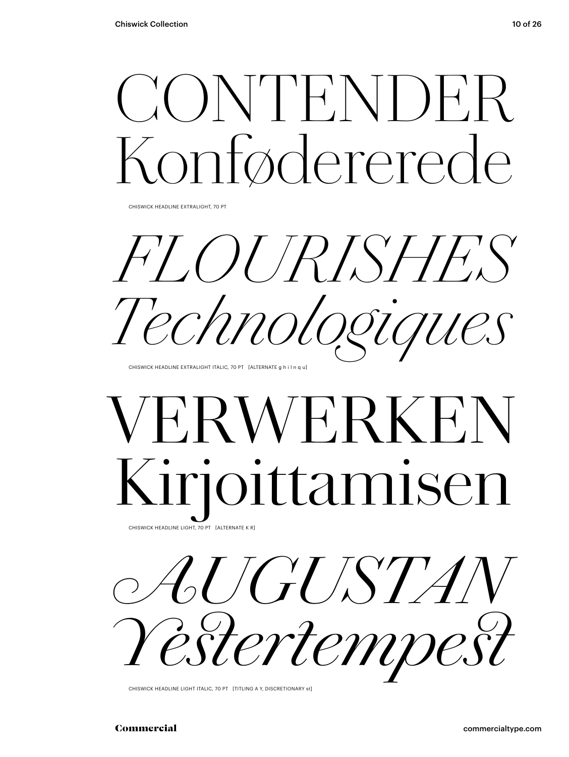### CONTENDER Fødererede

CHISWICK HEADLINE EXTRALIGHT, 70 PT

*FLOURISHES Technologiques*

CHISWICK HEADLINE EXTRALIGHT ITALIC, 70 PT [ALTERNATE g h i l n q u]

### **FRWERKE** Kirjoittamisen CHISWICK HEADLINE LIGHT, 70 PT [ALTERNATE K R]



CHISWICK HEADLINE LIGHT ITALIC, 70 PT [TITLING A Y, DISCRETIONARY st]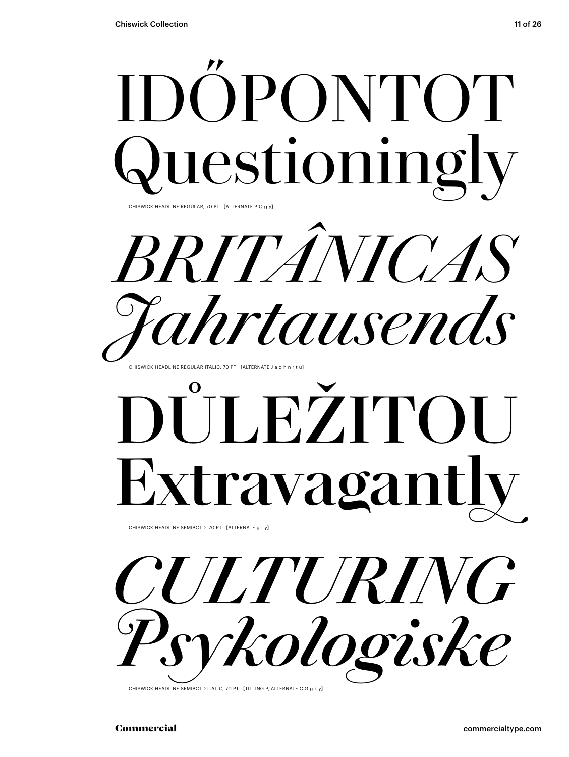

**Extravagant** 

CHISWICK HEADLINE SEMIBOLD, 70 PT [ALTERNATE g t y]



CHISWICK HEADLINE SEMIBOLD ITALIC, 70 PT [TITLING P, ALTERNATE C G g k y]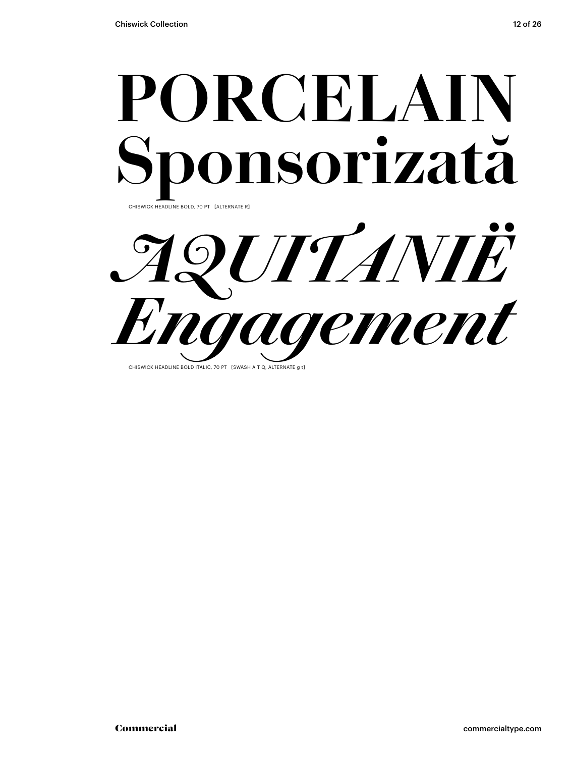

*AQUITANIË Engagement*

CHISWICK HEADLINE BOLD ITALIC, 70 PT [SWASH A T Q, ALTERNATE a t]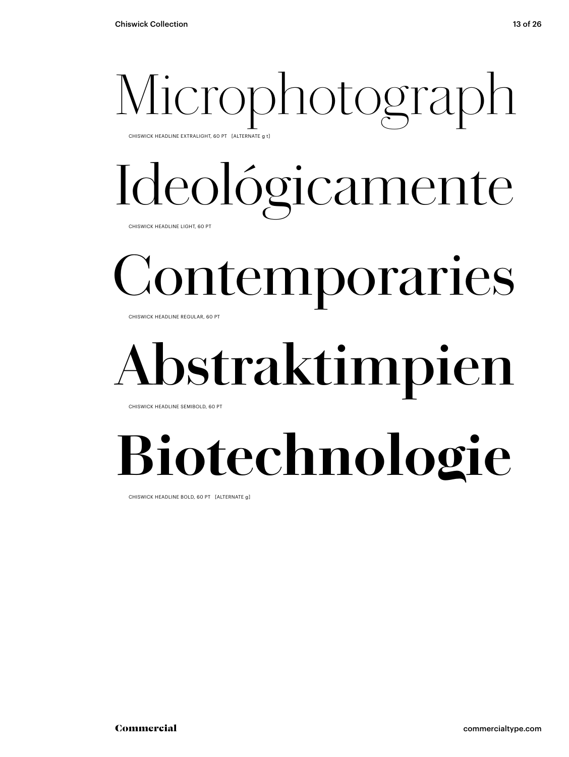# Microphotograph

CHISWICK HEADLINE EXTRALIGHT, 60 PT [ALTERNATE g t]

# Ideológicamente

CHISWICK HEADLINE LIGHT, 60 PT

## Contemporaries

CHISWICK HEADLINE REGULAR, 60 PT

### **Abstraktimpien**

CHISWICK HEADLINE SEMIBOLD, 60 PT

### **Biotechnologie**

CHISWICK HEADLINE BOLD, 60 PT [ALTERNATE g]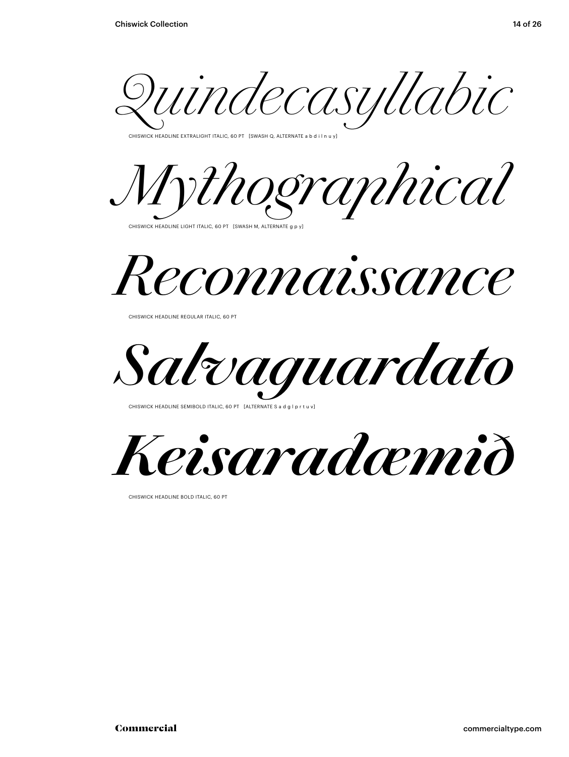*Quindecasyllabic*

.<br>CHISWICK HEADLINE EXTRALIGHT ITALIC, 60 PT [SWASH Q, ALTERNATE a b d i l n u y]





CHISWICK HEADLINE REGULAR ITALIC, 60 PT

*Salvaguardato*

CHISWICK HEADLINE SEMIBOLD ITALIC, 60 PT [ALTERNATE S a d g l p r t u



CHISWICK HEADLINE BOLD ITALIC, 60 PT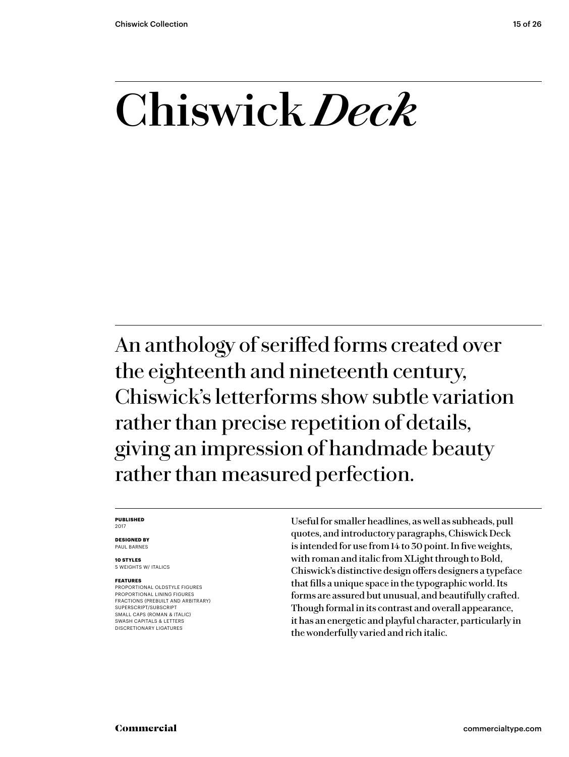### **Chiswick** *Deck*

An anthology of seriffed forms created over the eighteenth and nineteenth century, Chiswick's letterforms show subtle variation rather than precise repetition of details, giving an impression of handmade beauty rather than measured perfection.

### **PUBLISHED** 2017

**DESIGNED BY** PAUL BARNES

**10 STYLES** 5 WEIGHTS W/ ITALICS

### **FEATURES**

PROPORTIONAL OLDSTYLE FIGURES PROPORTIONAL LINING FIGURES FRACTIONS (PREBUILT AND ARBITRARY) SUPERSCRIPT/SUBSCRIPT SMALL CAPS (ROMAN & ITALIC) SWASH CAPITALS & LETTERS DISCRETIONARY LIGATURES

Useful for smaller headlines, as well as subheads, pull quotes, and introductory paragraphs, Chiswick Deck is intended for use from 14 to 30 point. In five weights, with roman and italic from XLight through to Bold, Chiswick's distinctive design offers designers a typeface that fills a unique space in the typographic world. Its forms are assured but unusual, and beautifully crafted. Though formal in its contrast and overall appearance, it has an energetic and playful character, particularly in the wonderfully varied and rich italic.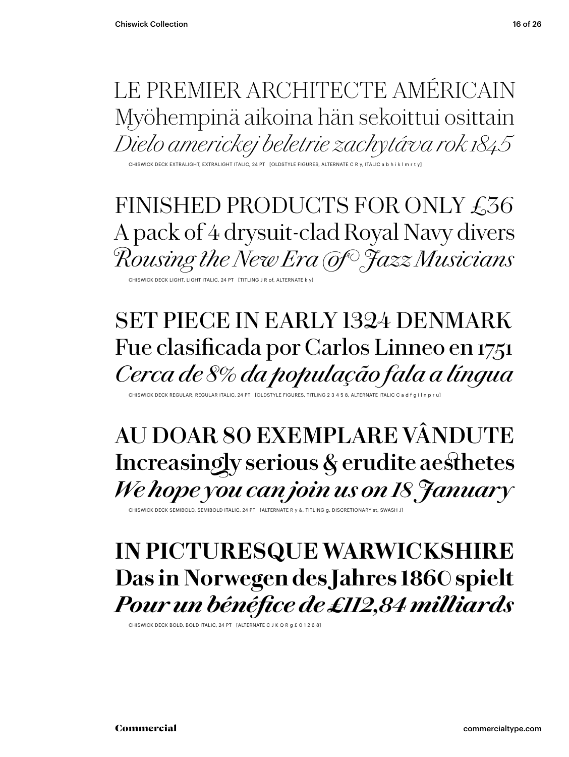### LE PREMIER ARCHITECTE AMÉRICAIN Myöhempinä aikoina hän sekoittui osittain *Dielo americkej beletrie zachytáva rok 1845*

CHISWICK DECK EXTRALIGHT, EXTRALIGHT ITALIC, 24 PT [OLDSTYLE FIGURES, ALTERNATE C R y, ITALIC a b h i k l m r t y]

FINISHED PRODUCTS FOR ONLY £36 A pack of 4 drysuit-clad Royal Navy divers *Rousing the New Era of Jazz Musicians*

CHISWICK DECK LIGHT, LIGHT ITALIC, 24 PT [TITLING J R of, ALTERNATE k y]

### SET PIECE IN EARLY 1324 DENMARK Fue clasificada por Carlos Linneo en 1751 *Cerca de 8% da população fala a língua*

CHISWICK DECK REGULAR, REGULAR ITALIC, 24 PT [OLDSTYLE FIGURES, TITLING 2 3 4 5 8, ALTERNATE ITALIC C a d f g

### **AU DOAR 80 EXEMPLARE VÂNDUTE Increasingly serious & erudite aesthetes** *We hope you can join us on 18 January*

CHISWICK DECK SEMIBOLD, SEMIBOLD ITALIC, 24 PT [ALTERNATE R y &, TITLING g, DISCRETIONARY st, SWASH J]

### **IN PICTURESQUE WARWICKSHIRE Das in Norwegen des Jahres 1860 spielt** *Pour un bénéfice de £112,84 milliards*

CHISWICK DECK BOLD, BOLD ITALIC, 24 PT [ALTERNATE C J K Q R g £ 0 1 2 6 8]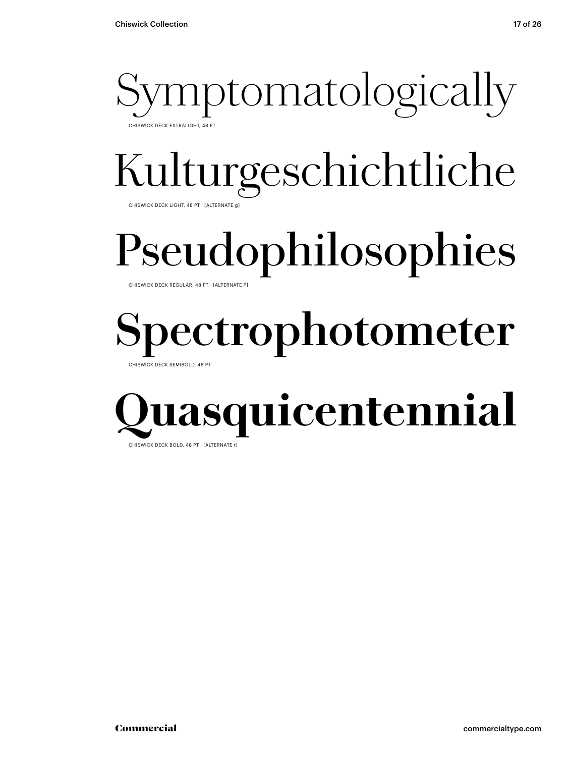

### Kulturgeschichtliche

CHISWICK DECK LIGHT, 48 PT [ALTERNATE g]

### Pseudophilosophies

CHISWICK DECK REGULAR, 48 PT [ALTERNATE P]

### **Spectrophotometer**

CHISWICK DECK SEMIBOLD, 48 PT

### **asquicentennial** CHISWICK DECK BOLD, 48 PT [ALTERNATE t]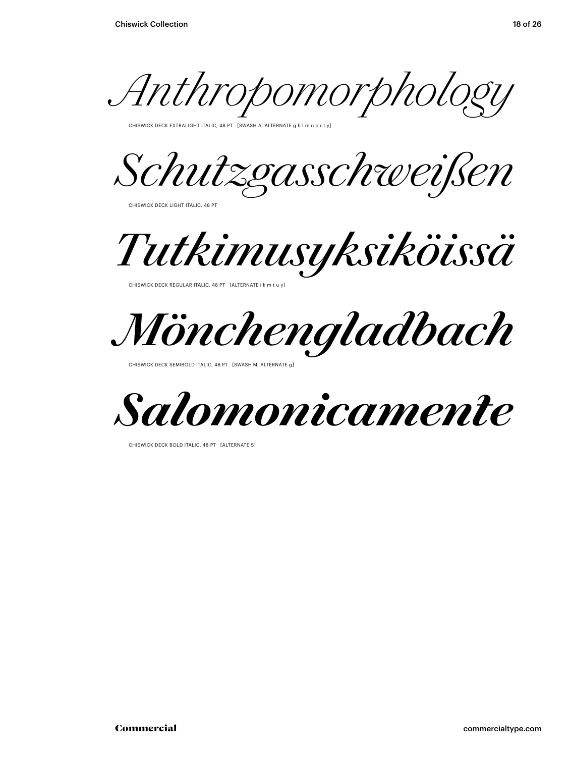*Anthropomorphology*

CHISWICK DECK EXTRALIGHT ITALIC, 48 PT [SWASH A, ALTERNATE g h l m n p r t y]

*Schutzgasschweißen*

CHISWICK DECK LIGHT ITALIC, 48 PT

*Tutkimusyksiköissä*

CHISWICK DECK REGULAR ITALIC, 48 PT [ALTERNATE i k m t u y]

*Mönchengladbach*

CHISWICK DECK SEMIBOLD ITALIC, 48 PT [SWASH M, ALTERNATE g]



CHISWICK DECK BOLD ITALIC, 48 PT [ALTERNATE S]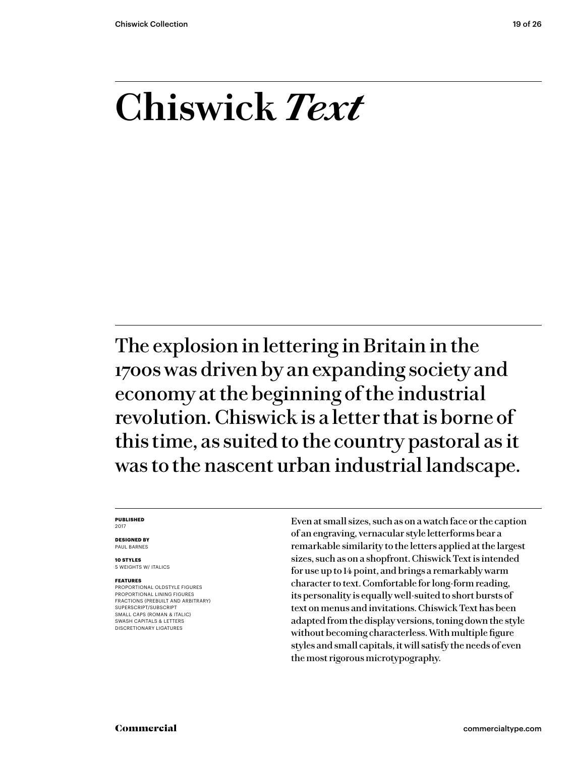### **Chiswick** *Text*

The explosion in lettering in Britain in the 1700s was driven by an expanding society and economy at the beginning of the industrial revolution. Chiswick is a letter that is borne of this time, as suited to the country pastoral as it was to the nascent urban industrial landscape.

### **PUBLISHED** 2017

**DESIGNED BY** PAUL BARNES

**10 STYLES** 5 WEIGHTS W/ ITALICS

### **FEATURES**

PROPORTIONAL OLDSTYLE FIGURES PROPORTIONAL LINING FIGURES FRACTIONS (PREBUILT AND ARBITRARY) SUPERSCRIPT/SUBSCRIPT SMALL CAPS (ROMAN & ITALIC) SWASH CAPITALS & LETTERS DISCRETIONARY LIGATURES

Even at small sizes, such as on a watch face or the caption of an engraving, vernacular style letterforms bear a remarkable similarity to the letters applied at the largest sizes, such as on a shopfront. Chiswick Text is intended for use up to 14 point, and brings a remarkably warm character to text. Comfortable for long-form reading, its personality is equally well-suited to short bursts of text on menus and invitations. Chiswick Text has been adapted from the display versions, toning down the style without becoming characterless. With multiple figure styles and small capitals, it will satisfy the needs of even the most rigorous microtypography.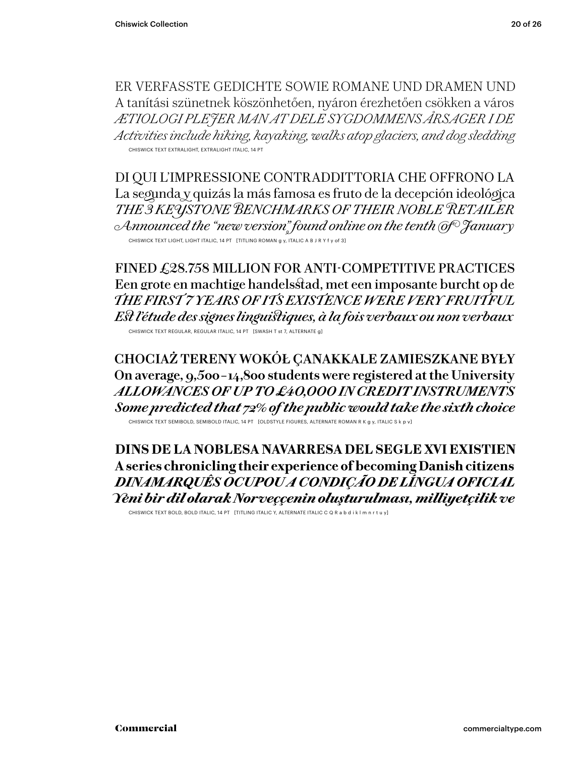ER VERFASSTE GEDICHTE SOWIE ROMANE UND DRAMEN UND A tanítási szünetnek köszönhetően, nyáron érezhetően csökken a város *ÆTIOLOGI PLEJER MAN AT DELE SYGDOMMENS ÅRSAGER I DE Activities include hiking, kayaking, walks atop glaciers, and dog sledding* CHISWICK TEXT EXTRALIGHT, EXTRALIGHT ITALIC, 14 PT

DI QUI L'IMPRESSIONE CONTRADDITTORIA CHE OFFRONO LA La segunda y quizás la más famosa es fruto de la decepción ideológica *THE 3 KEYSTONE BENCHMARKS OF THEIR NOBLE RETAILER Announced the "new version" found online on the tenth of January* CHISWICK TEXT LIGHT, LIGHT ITALIC, 14 PT [TITLING ROMAN g y, ITALIC A B J R Y f y of 3]

FINED £28.758 MILLION FOR ANTI-COMPETITIVE PRACTICES Een grote en machtige handelsstad, met een imposante burcht op de *THE FIRST 7 YEARS OF ITS EXISTENCE WERE VERY FRUITFUL Est l'étude des signes linguistiques, à la fois verbaux ou non verbaux* CHISWICK TEXT REGULAR, REGULAR ITALIC, 14 PT [SWASH T st 7, ALTERNATE g]

**CHOCIAŻ TERENY WOKÓŁ ÇANAKKALE ZAMIESZKANE BYŁY On average, 9,500 – 14,800 students were registered at the University** *ALLOWANCES OF UP TO £40,000 IN CREDIT INSTRUMENTS Some predicted that 72% of the public would take the sixth choice*

CHISWICK TEXT SEMIBOLD, SEMIBOLD ITALIC, 14 PT [OLDSTYLE FIGURES, ALTERNATE ROMAN R K g y, ITALIC S k p v]

**DINS DE LA NOBLESA NAVARRESA DEL SEGLE XVI EXISTIEN A series chronicling their experience of becoming Danish citizens** *DINAMARQUÊS OCUPOU A CONDIÇÃO DE LÍNGUA OFICIAL Yeni bir dil olarak Norveççenin oluşturulması, milliyetçilik ve*

CHISWICK TEXT BOLD, BOLD ITALIC, 14 PT [TITLING ITALIC Y, ALTERNATE ITALIC C Q R a b d i k l m n r t u y]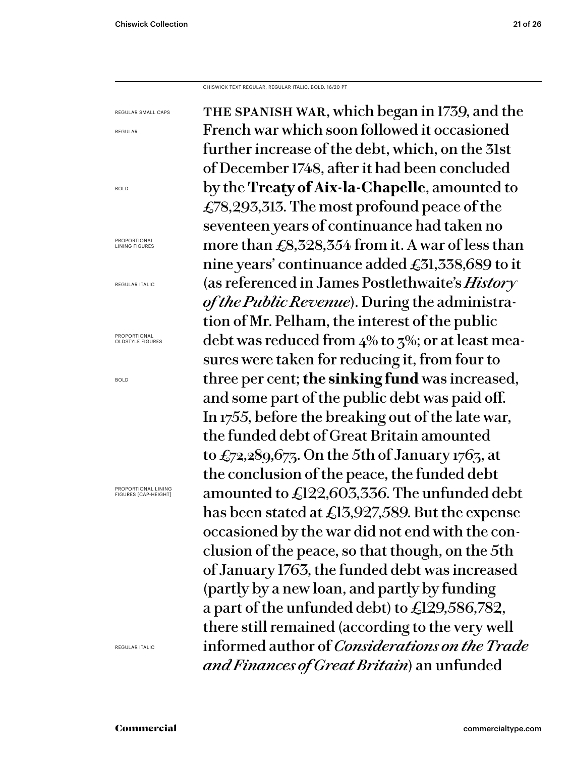CHISWICK TEXT REGULAR, REGULAR ITALIC, BOLD, 16/20 PT

the spanish war, which began in 1739, and the French war which soon followed it occasioned further increase of the debt, which, on the 31st of December 1748, after it had been concluded by the **Treaty of Aix-la-Chapelle**, amounted to £78,293,313. The most profound peace of the seventeen years of continuance had taken no more than £8,328,354 from it. A war of less than nine years' continuance added £31,338,689 to it (as referenced in James Postlethwaite's *History of the Public Revenue*). During the administration of Mr. Pelham, the interest of the public debt was reduced from 4% to 3%; or at least measures were taken for reducing it, from four to three per cent; **the sinking fund** was increased, and some part of the public debt was paid off. In 1755, before the breaking out of the late war, the funded debt of Great Britain amounted to  $\pounds$ 72,289,673. On the 5th of January 1763, at the conclusion of the peace, the funded debt amounted to £122,603,336. The unfunded debt has been stated at £13,927,589. But the expense occasioned by the war did not end with the conclusion of the peace, so that though, on the 5th of January 1763, the funded debt was increased (partly by a new loan, and partly by funding a part of the unfunded debt) to £129,586,782, there still remained (according to the very well informed author of *Considerations on the Trade and Finances of Great Britain*) an unfunded REGULAR SMALL CAPS

REGULAR

BOLD

PROPORTIONAL LINING FIGURES

REGULAR ITALIC

PROPORTIONAL OLDSTYLE FIGURES

BOLD

PROPORTIONAL LINING FIGURES [CAP-HEIGHT]

REGULAR ITALIC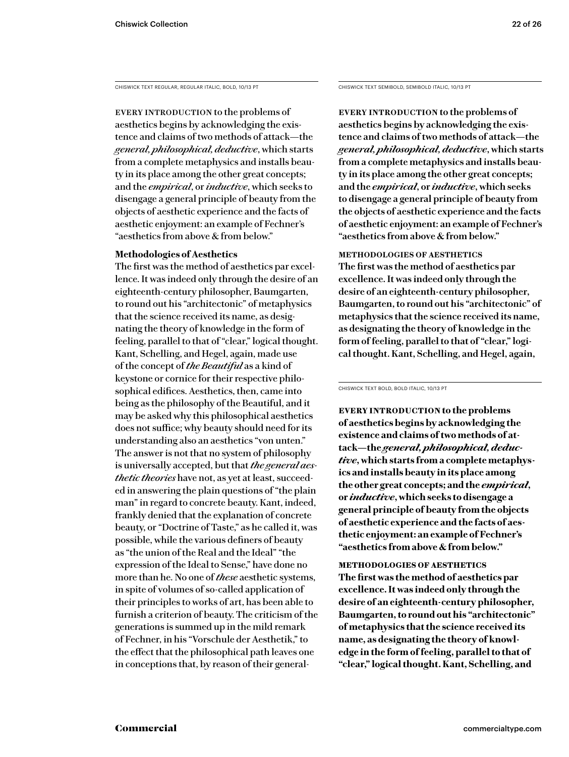CHISWICK TEXT REGULAR, REGULAR ITALIC, BOLD, 10/13 PT

EVERY INTRODUCTION to the problems of aesthetics begins by acknowledging the existence and claims of two methods of attack—the *general, philosophical, deductive*, which starts from a complete metaphysics and installs beauty in its place among the other great concepts; and the *empirical*, or *inductive*, which seeks to disengage a general principle of beauty from the objects of aesthetic experience and the facts of aesthetic enjoyment: an example of Fechner's "aesthetics from above & from below."

### **Methodologies of Aesthetics**

The first was the method of aesthetics par excellence. It was indeed only through the desire of an eighteenth-century philosopher, Baumgarten, to round out his "architectonic" of metaphysics that the science received its name, as designating the theory of knowledge in the form of feeling, parallel to that of "clear," logical thought. Kant, Schelling, and Hegel, again, made use of the concept of *the Beautiful* as a kind of keystone or cornice for their respective philosophical edifices. Aesthetics, then, came into being as the philosophy of the Beautiful, and it may be asked why this philosophical aesthetics does not suffice; why beauty should need for its understanding also an aesthetics "von unten." The answer is not that no system of philosophy is universally accepted, but that *the general aesthetic theories* have not, as yet at least, succeeded in answering the plain questions of "the plain man" in regard to concrete beauty. Kant, indeed, frankly denied that the explanation of concrete beauty, or "Doctrine of Taste," as he called it, was possible, while the various definers of beauty as "the union of the Real and the Ideal" "the expression of the Ideal to Sense," have done no more than he. No one of *these* aesthetic systems, in spite of volumes of so-called application of their principles to works of art, has been able to furnish a criterion of beauty. The criticism of the generations is summed up in the mild remark of Fechner, in his "Vorschule der Aesthetik," to the effect that the philosophical path leaves one in conceptions that, by reason of their generalCHISWICK TEXT SEMIBOLD, SEMIBOLD ITALIC, 10/13 PT

**Every introduction to the problems of aesthetics begins by acknowledging the existence and claims of two methods of attack—the**  *general, philosophical, deductive***, which starts from a complete metaphysics and installs beauty in its place among the other great concepts; and the** *empirical***, or** *inductive***, which seeks to disengage a general principle of beauty from the objects of aesthetic experience and the facts of aesthetic enjoyment: an example of Fechner's "aesthetics from above & from below."** 

**methodologies of aesthetics The first was the method of aesthetics par excellence. It was indeed only through the desire of an eighteenth-century philosopher, Baumgarten, to round out his "architectonic" of metaphysics that the science received its name, as designating the theory of knowledge in the form of feeling, parallel to that of "clear," logical thought. Kant, Schelling, and Hegel, again,** 

CHISWICK TEXT BOLD, BOLD ITALIC, 10/13 PT

**Every introduction to the problems of aesthetics begins by acknowledging the existence and claims of two methods of attack—the** *general, philosophical, deductive***, which starts from a complete metaphysics and installs beauty in its place among the other great concepts; and the** *empirical***, or** *inductive***, which seeks to disengage a general principle of beauty from the objects of aesthetic experience and the facts of aesthetic enjoyment: an example of Fechner's "aesthetics from above & from below."** 

**methodologies of aesthetics The first was the method of aesthetics par excellence. It was indeed only through the desire of an eighteenth-century philosopher, Baumgarten, to round out his "architectonic" of metaphysics that the science received its name, as designating the theory of knowledge in the form of feeling, parallel to that of "clear," logical thought. Kant, Schelling, and**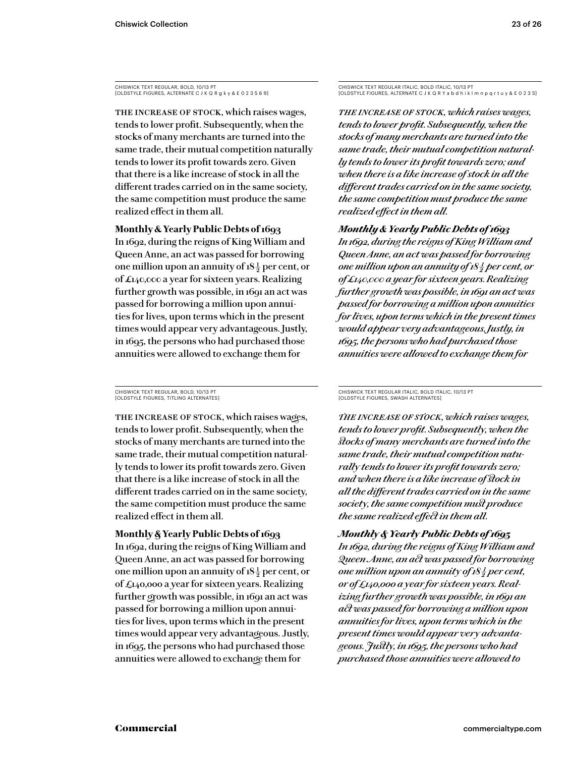CHISWICK TEXT REGULAR, BOLD, 10/13 PT [OLDSTYLE FIGURES, ALTERNATE C J K Q R g k y & £ 0 2 3 5 6 9]

The increase of stock, which raises wages, tends to lower profit. Subsequently, when the stocks of many merchants are turned into the same trade, their mutual competition naturally tends to lower its profit towards zero. Given that there is a like increase of stock in all the different trades carried on in the same society, the same competition must produce the same realized effect in them all.

### **Monthly & Yearly Public Debts of 1693**

In 1692, during the reigns of King William and Queen Anne, an act was passed for borrowing one million upon an annuity of  $18\frac{1}{2}$  per cent, or of £140,000 a year for sixteen years. Realizing further growth was possible, in 1691 an act was passed for borrowing a million upon annuities for lives, upon terms which in the present times would appear very advantageous. Justly, in 1695, the persons who had purchased those annuities were allowed to exchange them for

CHISWICK TEXT REGULAR, BOLD, 10/13 PT [OLDSTYLE FIGURES, TITLING ALTERNATES]

THE INCREASE OF STOCK, which raises wages, tends to lower profit. Subsequently, when the stocks of many merchants are turned into the same trade, their mutual competition naturally tends to lower its profit towards zero. Given that there is a like increase of stock in all the different trades carried on in the same society, the same competition must produce the same realized effect in them all.

**Monthly & Yearly Public Debts of 1693** In 1692, during the reigns of King William and Queen Anne, an act was passed for borrowing one million upon an annuity of  $18\frac{1}{2}$  per cent, or of £140,000 a year for sixteen years. Realizing further growth was possible, in 1691 an act was passed for borrowing a million upon annuities for lives, upon terms which in the present times would appear very advantageous. Justly, in 1695, the persons who had purchased those annuities were allowed to exchange them for

CHISWICK TEXT REGULAR ITALIC, BOLD ITALIC, 10/13 PT [OLDSTYLE FIGURES, ALTERNATE C J K Q R Y a b d h i k l m n p q r t u y & £ 0 2 3 5]

*The increase of stock, which raises wages, tends to lower profit. Subsequently, when the stocks of many merchants are turned into the same trade, their mutual competition naturally tends to lower its profit towards zero; and when there is a like increase of stock in all the different trades carried on in the same society, the same competition must produce the same realized effect in them all.*

### *Monthly & Yearly Public Debts of 1693*

*In 1692, during the reigns of King William and Queen Anne, an act was passed for borrowing one million upon an annuity of 18<sup>1</sup>/<sub>2</sub> per cent, or of £140,000 a year for sixteen years. Realizing further growth was possible, in 1691 an act was passed for borrowing a million upon annuities for lives, upon terms which in the present times would appear very advantageous. Justly, in 1695, the persons who had purchased those annuities were allowed to exchange them for* 

CHISWICK TEXT REGULAR ITALIC, BOLD ITALIC, 10/13 PT [OLDSTYLE FIGURES, SWASH ALTERNATES]

*The increase of stock, which raises wages, tends to lower profit. Subsequently, when the stocks of many merchants are turned into the same trade, their mutual competition naturally tends to lower its profit towards zero; and when there is a like increase of stock in all the different trades carried on in the same society, the same competition must produce the same realized effect in them all.*

*Monthly & Yearly Public Debts of 1693 In 1692, during the reigns of King William and Queen Anne, an act was passed for borrowing one million upon an annuity of 18* $\frac{1}{2}$  *per cent, or of £140,000 a year for sixteen years. Realizing further growth was possible, in 1691 an act was passed for borrowing a million upon annuities for lives, upon terms which in the present times would appear very advantageous. Justly, in 1695, the persons who had purchased those annuities were allowed to*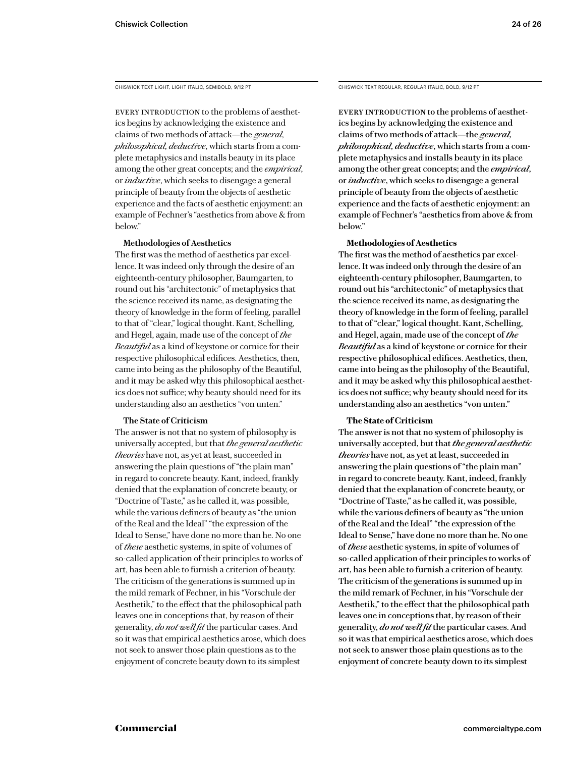CHISWICK TEXT LIGHT, LIGHT ITALIC, SEMIBOLD, 9/12 PT

EVERY INTRODUCTION to the problems of aesthetics begins by acknowledging the existence and claims of two methods of attack—the *general, philosophical, deductive*, which starts from a complete metaphysics and installs beauty in its place among the other great concepts; and the *empirical*, or *inductive*, which seeks to disengage a general principle of beauty from the objects of aesthetic experience and the facts of aesthetic enjoyment: an example of Fechner's "aesthetics from above & from below."

### **Methodologies of Aesthetics**

The first was the method of aesthetics par excellence. It was indeed only through the desire of an eighteenth-century philosopher, Baumgarten, to round out his "architectonic" of metaphysics that the science received its name, as designating the theory of knowledge in the form of feeling, parallel to that of "clear," logical thought. Kant, Schelling, and Hegel, again, made use of the concept of *the Beautiful* as a kind of keystone or cornice for their respective philosophical edifices. Aesthetics, then, came into being as the philosophy of the Beautiful, and it may be asked why this philosophical aesthetics does not suffice; why beauty should need for its understanding also an aesthetics "von unten."

### **The State of Criticism**

The answer is not that no system of philosophy is universally accepted, but that *the general aesthetic theories* have not, as yet at least, succeeded in answering the plain questions of "the plain man" in regard to concrete beauty. Kant, indeed, frankly denied that the explanation of concrete beauty, or "Doctrine of Taste," as he called it, was possible, while the various definers of beauty as "the union of the Real and the Ideal" "the expression of the Ideal to Sense," have done no more than he. No one of *these* aesthetic systems, in spite of volumes of so-called application of their principles to works of art, has been able to furnish a criterion of beauty. The criticism of the generations is summed up in the mild remark of Fechner, in his "Vorschule der Aesthetik," to the effect that the philosophical path leaves one in conceptions that, by reason of their generality, *do not well fit* the particular cases. And so it was that empirical aesthetics arose, which does not seek to answer those plain questions as to the enjoyment of concrete beauty down to its simplest

CHISWICK TEXT REGULAR, REGULAR ITALIC, BOLD, 9/12 PT

EVERY INTRODUCTION to the problems of aesthetics begins by acknowledging the existence and claims of two methods of attack—the *general, philosophical, deductive*, which starts from a complete metaphysics and installs beauty in its place among the other great concepts; and the *empirical*, or *inductive*, which seeks to disengage a general principle of beauty from the objects of aesthetic experience and the facts of aesthetic enjoyment: an example of Fechner's "aesthetics from above & from below."

### **Methodologies of Aesthetics**

The first was the method of aesthetics par excellence. It was indeed only through the desire of an eighteenth-century philosopher, Baumgarten, to round out his "architectonic" of metaphysics that the science received its name, as designating the theory of knowledge in the form of feeling, parallel to that of "clear," logical thought. Kant, Schelling, and Hegel, again, made use of the concept of *the Beautiful* as a kind of keystone or cornice for their respective philosophical edifices. Aesthetics, then, came into being as the philosophy of the Beautiful, and it may be asked why this philosophical aesthetics does not suffice; why beauty should need for its understanding also an aesthetics "von unten."

### **The State of Criticism**

The answer is not that no system of philosophy is universally accepted, but that *the general aesthetic theories* have not, as yet at least, succeeded in answering the plain questions of "the plain man" in regard to concrete beauty. Kant, indeed, frankly denied that the explanation of concrete beauty, or "Doctrine of Taste," as he called it, was possible, while the various definers of beauty as "the union of the Real and the Ideal" "the expression of the Ideal to Sense," have done no more than he. No one of *these* aesthetic systems, in spite of volumes of so-called application of their principles to works of art, has been able to furnish a criterion of beauty. The criticism of the generations is summed up in the mild remark of Fechner, in his "Vorschule der Aesthetik," to the effect that the philosophical path leaves one in conceptions that, by reason of their generality, *do not well fit* the particular cases. And so it was that empirical aesthetics arose, which does not seek to answer those plain questions as to the enjoyment of concrete beauty down to its simplest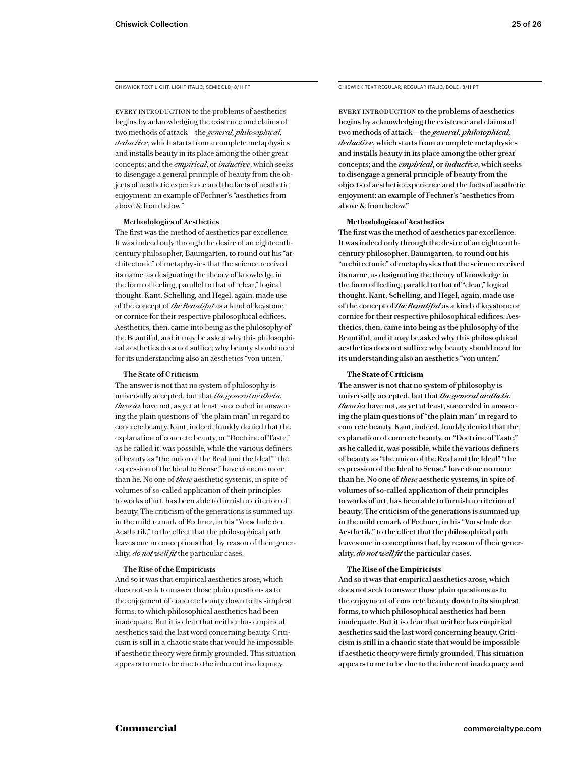CHISWICK TEXT LIGHT, LIGHT ITALIC, SEMIBOLD, 8/11 PT

EVERY INTRODUCTION to the problems of aesthetics begins by acknowledging the existence and claims of two methods of attack—the *general, philosophical, deductive*, which starts from a complete metaphysics and installs beauty in its place among the other great concepts; and the *empirical*, or *inductive*, which seeks to disengage a general principle of beauty from the objects of aesthetic experience and the facts of aesthetic enjoyment: an example of Fechner's "aesthetics from above & from below."

### **Methodologies of Aesthetics**

The first was the method of aesthetics par excellence. It was indeed only through the desire of an eighteenthcentury philosopher, Baumgarten, to round out his "architectonic" of metaphysics that the science received its name, as designating the theory of knowledge in the form of feeling, parallel to that of "clear," logical thought. Kant, Schelling, and Hegel, again, made use of the concept of *the Beautiful* as a kind of keystone or cornice for their respective philosophical edifices. Aesthetics, then, came into being as the philosophy of the Beautiful, and it may be asked why this philosophical aesthetics does not suffice; why beauty should need for its understanding also an aesthetics "von unten."

### **The State of Criticism**

The answer is not that no system of philosophy is universally accepted, but that *the general aesthetic theories* have not, as yet at least, succeeded in answering the plain questions of "the plain man" in regard to concrete beauty. Kant, indeed, frankly denied that the explanation of concrete beauty, or "Doctrine of Taste," as he called it, was possible, while the various definers of beauty as "the union of the Real and the Ideal" "the expression of the Ideal to Sense," have done no more than he. No one of *these* aesthetic systems, in spite of volumes of so-called application of their principles to works of art, has been able to furnish a criterion of beauty. The criticism of the generations is summed up in the mild remark of Fechner, in his "Vorschule der Aesthetik," to the effect that the philosophical path leaves one in conceptions that, by reason of their generality, *do not well fit* the particular cases.

### **The Rise of the Empiricists**

And so it was that empirical aesthetics arose, which does not seek to answer those plain questions as to the enjoyment of concrete beauty down to its simplest forms, to which philosophical aesthetics had been inadequate. But it is clear that neither has empirical aesthetics said the last word concerning beauty. Criticism is still in a chaotic state that would be impossible if aesthetic theory were firmly grounded. This situation appears to me to be due to the inherent inadequacy

CHISWICK TEXT REGULAR, REGULAR ITALIC, BOLD, 8/11 PT

EVERY INTRODUCTION to the problems of aesthetics begins by acknowledging the existence and claims of two methods of attack—the *general, philosophical, deductive*, which starts from a complete metaphysics and installs beauty in its place among the other great concepts; and the *empirical*, or *inductive*, which seeks to disengage a general principle of beauty from the objects of aesthetic experience and the facts of aesthetic enjoyment: an example of Fechner's "aesthetics from above & from below."

### **Methodologies of Aesthetics**

The first was the method of aesthetics par excellence. It was indeed only through the desire of an eighteenthcentury philosopher, Baumgarten, to round out his "architectonic" of metaphysics that the science received its name, as designating the theory of knowledge in the form of feeling, parallel to that of "clear," logical thought. Kant, Schelling, and Hegel, again, made use of the concept of *the Beautiful* as a kind of keystone or cornice for their respective philosophical edifices. Aesthetics, then, came into being as the philosophy of the Beautiful, and it may be asked why this philosophical aesthetics does not suffice; why beauty should need for its understanding also an aesthetics "von unten."

### **The State of Criticism**

The answer is not that no system of philosophy is universally accepted, but that *the general aesthetic theories* have not, as yet at least, succeeded in answering the plain questions of "the plain man" in regard to concrete beauty. Kant, indeed, frankly denied that the explanation of concrete beauty, or "Doctrine of Taste," as he called it, was possible, while the various definers of beauty as "the union of the Real and the Ideal" "the expression of the Ideal to Sense," have done no more than he. No one of *these* aesthetic systems, in spite of volumes of so-called application of their principles to works of art, has been able to furnish a criterion of beauty. The criticism of the generations is summed up in the mild remark of Fechner, in his "Vorschule der Aesthetik," to the effect that the philosophical path leaves one in conceptions that, by reason of their generality, *do not well fit* the particular cases.

### **The Rise of the Empiricists**

And so it was that empirical aesthetics arose, which does not seek to answer those plain questions as to the enjoyment of concrete beauty down to its simplest forms, to which philosophical aesthetics had been inadequate. But it is clear that neither has empirical aesthetics said the last word concerning beauty. Criticism is still in a chaotic state that would be impossible if aesthetic theory were firmly grounded. This situation appears to me to be due to the inherent inadequacy and